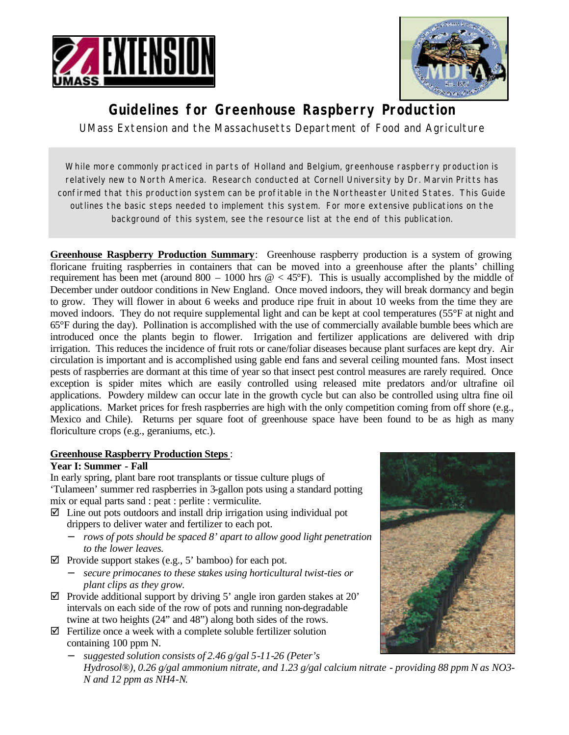



# **Guidelines for Greenhouse Raspberry Production**

UMass Extension and the Massachusetts Department of Food and Agriculture

While more commonly practiced in parts of Holland and Belgium, greenhouse raspberry production is relatively new to North America. Research conducted at Cornell University by Dr. Marvin Pritts has confirmed that this production system can be profitable in the Northeaster United States. This Guide outlines the basic steps needed to implement this system. For more extensive publications on the background of this system, see the resource list at the end of this publication.

**Greenhouse Raspberry Production Summary**: Greenhouse raspberry production is a system of growing floricane fruiting raspberries in containers that can be moved into a greenhouse after the plants' chilling requirement has been met (around 800 – 1000 hrs  $@ < 45^{\circ}$ F). This is usually accomplished by the middle of December under outdoor conditions in New England. Once moved indoors, they will break dormancy and begin to grow. They will flower in about 6 weeks and produce ripe fruit in about 10 weeks from the time they are moved indoors. They do not require supplemental light and can be kept at cool temperatures (55°F at night and 65°F during the day). Pollination is accomplished with the use of commercially available bumble bees which are introduced once the plants begin to flower. Irrigation and fertilizer applications are delivered with drip irrigation. This reduces the incidence of fruit rots or cane/foliar diseases because plant surfaces are kept dry. Air circulation is important and is accomplished using gable end fans and several ceiling mounted fans. Most insect pests of raspberries are dormant at this time of year so that insect pest control measures are rarely required. Once exception is spider mites which are easily controlled using released mite predators and/or ultrafine oil applications. Powdery mildew can occur late in the growth cycle but can also be controlled using ultra fine oil applications. Market prices for fresh raspberries are high with the only competition coming from off shore (e.g., Mexico and Chile). Returns per square foot of greenhouse space have been found to be as high as many floriculture crops (e.g., geraniums, etc.).

## **Greenhouse Raspberry Production Steps**:

#### **Year I: Summer - Fall**

In early spring, plant bare root transplants or tissue culture plugs of 'Tulameen' summer red raspberries in 3-gallon pots using a standard potting mix or equal parts sand : peat : perlite : vermiculite.

- $\boxtimes$  Line out pots outdoors and install drip irrigation using individual pot drippers to deliver water and fertilizer to each pot.
	- − *rows of pots should be spaced 8' apart to allow good light penetration to the lower leaves.*
- $\boxtimes$  Provide support stakes (e.g., 5' bamboo) for each pot.
	- − *secure primocanes to these stakes using horticultural twist-ties or plant clips as they grow.*
- $\boxtimes$  Provide additional support by driving 5' angle iron garden stakes at 20' intervals on each side of the row of pots and running non-degradable twine at two heights (24" and 48") along both sides of the rows.
- $\boxtimes$  Fertilize once a week with a complete soluble fertilizer solution containing 100 ppm N.
	- − *suggested solution consists of 2.46 g/gal 5-11-26 (Peter's Hydrosol®), 0.26 g/gal ammonium nitrate, and 1.23 g/gal calcium nitrate - providing 88 ppm N as NO3- N and 12 ppm as NH4-N.*

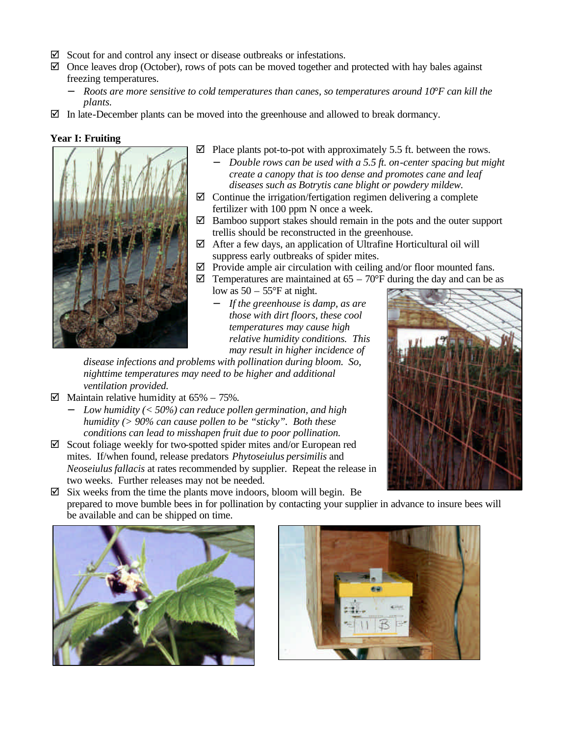- $\boxtimes$  Scout for and control any insect or disease outbreaks or infestations.
- $\boxtimes$  Once leaves drop (October), rows of pots can be moved together and protected with hay bales against freezing temperatures.
	- − *Roots are more sensitive to cold temperatures than canes, so temperatures around 10°F can kill the plants.*
- $\boxtimes$  In late-December plants can be moved into the greenhouse and allowed to break dormancy.

#### **Year I: Fruiting**



- $\boxtimes$  Place plants pot-to-pot with approximately 5.5 ft. between the rows.
	- *Double rows can be used with a 5.5 ft. on-center spacing but might create a canopy that is too dense and promotes cane and leaf diseases such as Botrytis cane blight or powdery mildew.*
- $\boxtimes$  Continue the irrigation/fertigation regimen delivering a complete fertilizer with 100 ppm N once a week.
- $\boxtimes$  Bamboo support stakes should remain in the pots and the outer support trellis should be reconstructed in the greenhouse.
- $\boxtimes$  After a few days, an application of Ultrafine Horticultural oil will suppress early outbreaks of spider mites.
- $\boxtimes$  Provide ample air circulation with ceiling and/or floor mounted fans.
	- $\boxtimes$  Temperatures are maintained at 65 70°F during the day and can be as low as  $50 - 55$ °F at night.
		- − *If the greenhouse is damp, as are those with dirt floors, these cool temperatures may cause high relative humidity conditions. This may result in higher incidence of*

*disease infections and problems with pollination during bloom. So, nighttime temperatures may need to be higher and additional ventilation provided.*

- $\boxtimes$  Maintain relative humidity at 65% 75%.
	- − *Low humidity (< 50%) can reduce pollen germination, and high humidity (> 90% can cause pollen to be "sticky". Both these conditions can lead to misshapen fruit due to poor pollination.*
- $\boxtimes$  Scout foliage weekly for two-spotted spider mites and/or European red mites. If/when found, release predators *Phytoseiulus persimilis* and *Neoseiulus fallacis* at rates recommended by supplier. Repeat the release in two weeks. Further releases may not be needed.



 $\boxtimes$  Six weeks from the time the plants move indoors, bloom will begin. Be prepared to move bumble bees in for pollination by contacting your supplier in advance to insure bees will be available and can be shipped on time.



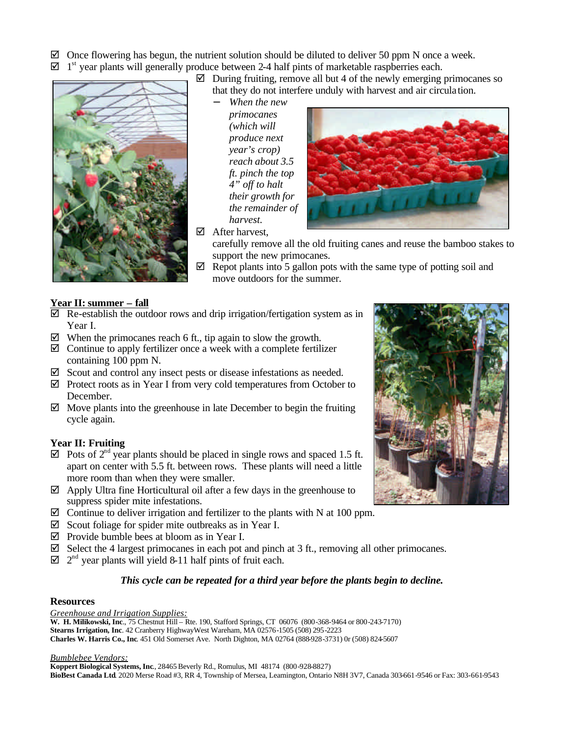$\boxtimes$  Once flowering has begun, the nutrient solution should be diluted to deliver 50 ppm N once a week.

 $\boxtimes$  1<sup>st</sup> year plants will generally produce between 2-4 half pints of marketable raspberries each.



- $\boxtimes$  During fruiting, remove all but 4 of the newly emerging primocanes so that they do not interfere unduly with harvest and air circula tion.
	- − *When the new primocanes (which will produce next year's crop) reach about 3.5 ft. pinch the top 4" off to halt their growth for the remainder of harvest.*
- $\boxtimes$  After harvest.



carefully remove all the old fruiting canes and reuse the bamboo stakes to support the new primocanes.

 $\boxtimes$  Repot plants into 5 gallon pots with the same type of potting soil and move outdoors for the summer.

## **Year II: summer – fall**

- $\boxtimes$  Re-establish the outdoor rows and drip irrigation/fertigation system as in Year I.
- $\boxtimes$  When the primocanes reach 6 ft., tip again to slow the growth.
- $\boxtimes$  Continue to apply fertilizer once a week with a complete fertilizer containing 100 ppm N.
- $\boxtimes$  Scout and control any insect pests or disease infestations as needed.
- $\boxtimes$  Protect roots as in Year I from very cold temperatures from October to December.
- $\boxtimes$  Move plants into the greenhouse in late December to begin the fruiting cycle again.

## **Year II: Fruiting**

- $\boxtimes$  Pots of  $2^{nd}$  year plants should be placed in single rows and spaced 1.5 ft. apart on center with 5.5 ft. between rows. These plants will need a little more room than when they were smaller.
- $\boxtimes$  Apply Ultra fine Horticultural oil after a few days in the greenhouse to suppress spider mite infestations.
- $\boxtimes$  Continue to deliver irrigation and fertilizer to the plants with N at 100 ppm.
- $\boxtimes$  Scout foliage for spider mite outbreaks as in Year I.
- $\boxtimes$  Provide bumble bees at bloom as in Year I.
- $\boxtimes$  Select the 4 largest primocanes in each pot and pinch at 3 ft., removing all other primocanes.
- $\boxtimes$   $2^{nd}$  year plants will yield 8-11 half pints of fruit each.

## *This cycle can be repeated for a third year before the plants begin to decline.*

#### **Resources**

*Greenhouse and Irrigation Supplies:* **W. H. Milikowski, Inc**., 75 Chestnut Hill – Rte. 190, Stafford Springs, CT 06076 (800-368-9464 or 800-243-7170) **Stearns Irrigation, Inc**. 42 Cranberry HighwayWest Wareham, MA 02576-1505 (508) 295-2223 **Charles W. Harris Co., Inc**. 451 Old Somerset Ave. North Dighton, MA 02764 (888-928-3731) 0r (508) 824-5607

#### *Bumblebee Vendors:*

**Koppert Biological Systems, Inc**., 28465 Beverly Rd., Romulus, MI 48174 (800-928-8827) **BioBest Canada Ltd**. 2020 Merse Road #3, RR 4, Township of Mersea, Leamington, Ontario N8H 3V7, Canada 303-661-9546 or Fax: 303-661-9543